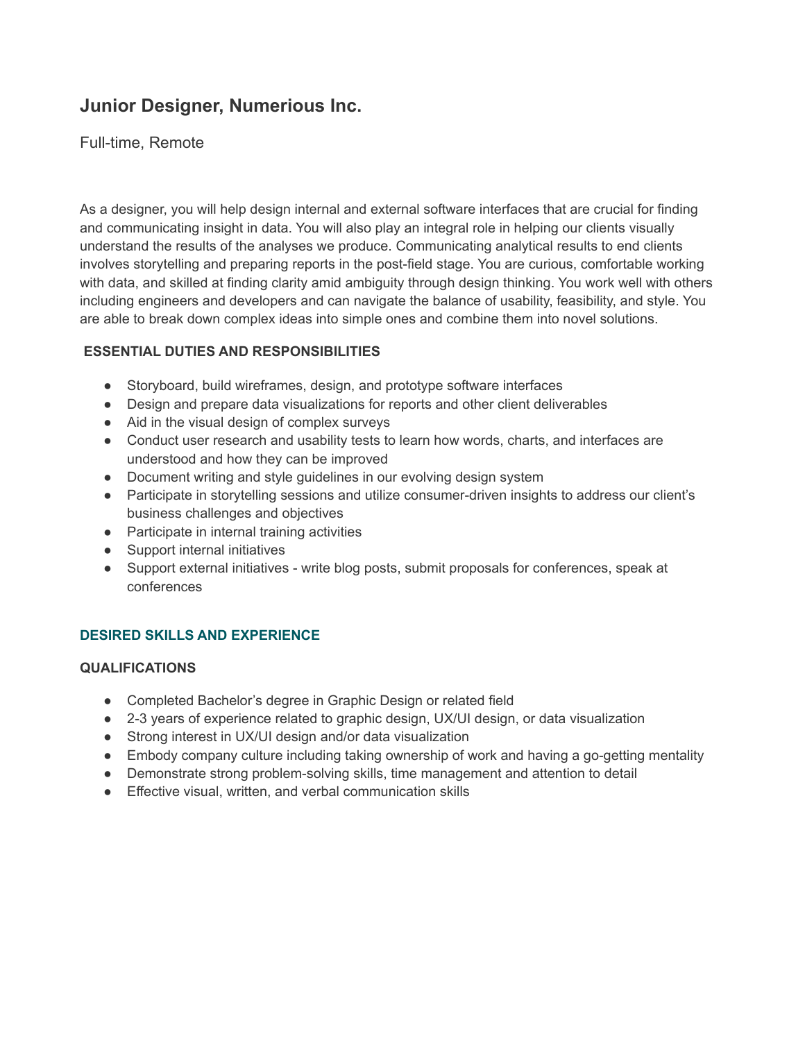# **Junior Designer, Numerious Inc.**

## Full-time, Remote

As a designer, you will help design internal and external software interfaces that are crucial for finding and communicating insight in data. You will also play an integral role in helping our clients visually understand the results of the analyses we produce. Communicating analytical results to end clients involves storytelling and preparing reports in the post-field stage. You are curious, comfortable working with data, and skilled at finding clarity amid ambiguity through design thinking. You work well with others including engineers and developers and can navigate the balance of usability, feasibility, and style. You are able to break down complex ideas into simple ones and combine them into novel solutions.

## **ESSENTIAL DUTIES AND RESPONSIBILITIES**

- Storyboard, build wireframes, design, and prototype software interfaces
- Design and prepare data visualizations for reports and other client deliverables
- Aid in the visual design of complex surveys
- Conduct user research and usability tests to learn how words, charts, and interfaces are understood and how they can be improved
- Document writing and style guidelines in our evolving design system
- Participate in storytelling sessions and utilize consumer-driven insights to address our client's business challenges and objectives
- Participate in internal training activities
- Support internal initiatives
- Support external initiatives write blog posts, submit proposals for conferences, speak at conferences

## **DESIRED SKILLS AND EXPERIENCE**

#### **QUALIFICATIONS**

- Completed Bachelor's degree in Graphic Design or related field
- 2-3 years of experience related to graphic design, UX/UI design, or data visualization
- Strong interest in UX/UI design and/or data visualization
- Embody company culture including taking ownership of work and having a go-getting mentality
- Demonstrate strong problem-solving skills, time management and attention to detail
- Effective visual, written, and verbal communication skills